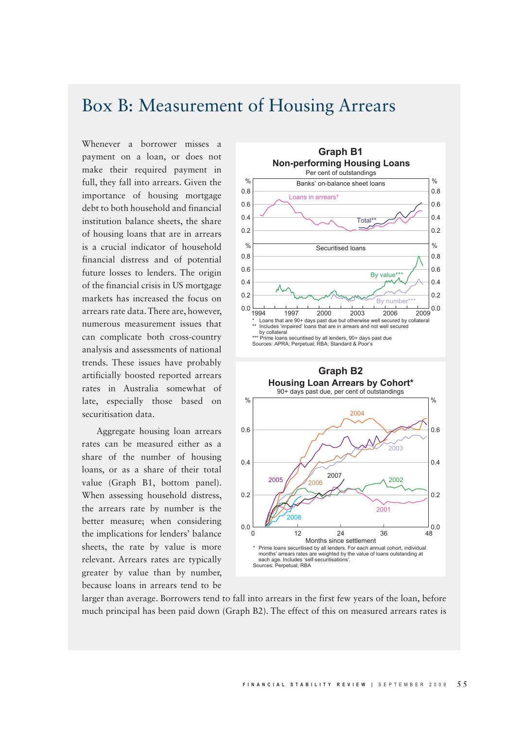## Box B: Measurement of Housing Arrears

Whenever a borrower misses a payment on a loan, or does not make their required payment in full, they fall into arrears. Given the importance of housing mortgage debt to both household and financial institution balance sheets, the share of housing loans that are in arrears is a crucial indicator of household financial distress and of potential future losses to lenders. The origin of the financial crisis in US mortgage markets has increased the focus on arrears rate data. There are, however, numerous measurement issues that can complicate both cross-country analysis and assessments of national trends. These issues have probably artificially boosted reported arrears rates in Australia somewhat of late, especially those based on securitisation data.

Aggregate housing loan arrears rates can be measured either as a share of the number of housing loans, or as a share of their total value (Graph B1, bottom panel). When assessing household distress, the arrears rate by number is the better measure; when considering the implications for lenders' balance sheets, the rate by value is more relevant. Arrears rates are typically greater by value than by number, because loans in arrears tend to be



larger than average. Borrowers tend to fall into arrears in the first few years of the loan, before much principal has been paid down (Graph B2). The effect of this on measured arrears rates is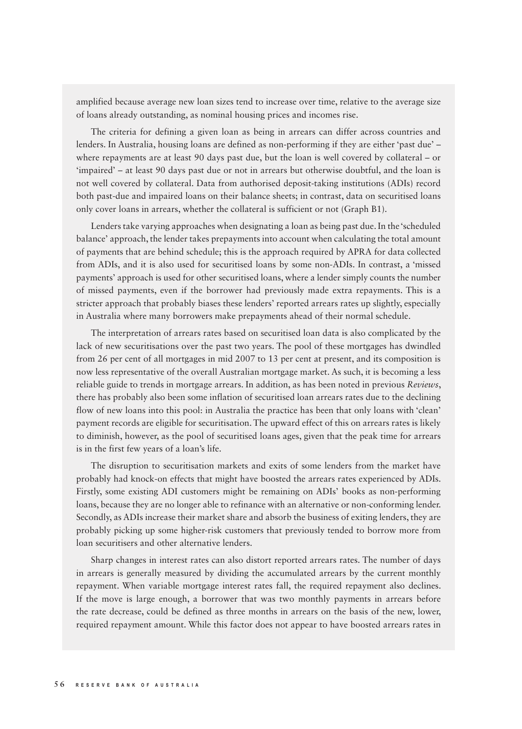amplified because average new loan sizes tend to increase over time, relative to the average size of loans already outstanding, as nominal housing prices and incomes rise.

The criteria for defining a given loan as being in arrears can differ across countries and lenders. In Australia, housing loans are defined as non-performing if they are either 'past due' – where repayments are at least 90 days past due, but the loan is well covered by collateral – or 'impaired' – at least 90 days past due or not in arrears but otherwise doubtful, and the loan is not well covered by collateral. Data from authorised deposit-taking institutions (ADIs) record both past-due and impaired loans on their balance sheets; in contrast, data on securitised loans only cover loans in arrears, whether the collateral is sufficient or not (Graph B1).

Lenders take varying approaches when designating a loan as being past due. In the 'scheduled balance' approach, the lender takes prepayments into account when calculating the total amount of payments that are behind schedule; this is the approach required by APRA for data collected from ADIs, and it is also used for securitised loans by some non-ADIs. In contrast, a 'missed payments' approach is used for other securitised loans, where a lender simply counts the number of missed payments, even if the borrower had previously made extra repayments. This is a stricter approach that probably biases these lenders' reported arrears rates up slightly, especially in Australia where many borrowers make prepayments ahead of their normal schedule.

The interpretation of arrears rates based on securitised loan data is also complicated by the lack of new securitisations over the past two years. The pool of these mortgages has dwindled from 26 per cent of all mortgages in mid 2007 to 13 per cent at present, and its composition is now less representative of the overall Australian mortgage market. As such, it is becoming a less reliable guide to trends in mortgage arrears. In addition, as has been noted in previous *Reviews*, there has probably also been some inflation of securitised loan arrears rates due to the declining flow of new loans into this pool: in Australia the practice has been that only loans with 'clean' payment records are eligible for securitisation. The upward effect of this on arrears rates is likely to diminish, however, as the pool of securitised loans ages, given that the peak time for arrears is in the first few years of a loan's life.

The disruption to securitisation markets and exits of some lenders from the market have probably had knock-on effects that might have boosted the arrears rates experienced by ADIs. Firstly, some existing ADI customers might be remaining on ADIs' books as non-performing loans, because they are no longer able to refinance with an alternative or non-conforming lender. Secondly, as ADIs increase their market share and absorb the business of exiting lenders, they are probably picking up some higher-risk customers that previously tended to borrow more from loan securitisers and other alternative lenders.

Sharp changes in interest rates can also distort reported arrears rates. The number of days in arrears is generally measured by dividing the accumulated arrears by the current monthly repayment. When variable mortgage interest rates fall, the required repayment also declines. If the move is large enough, a borrower that was two monthly payments in arrears before the rate decrease, could be defined as three months in arrears on the basis of the new, lower, required repayment amount. While this factor does not appear to have boosted arrears rates in